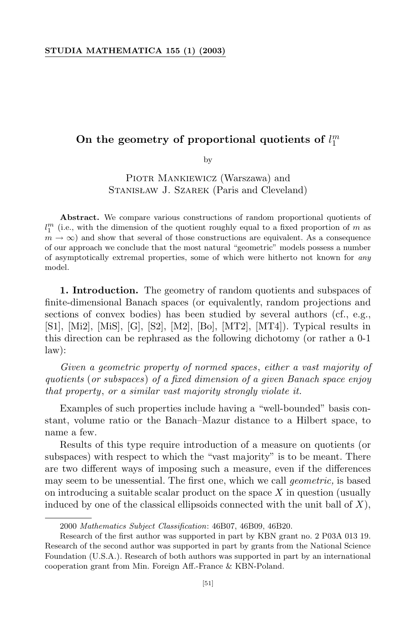## On the geometry of proportional quotients of  $l_1^m$

by

Piotr Mankiewicz (Warszawa) and Stanisław J. Szarek (Paris and Cleveland)

**Abstract.** We compare various constructions of random proportional quotients of  $l_1^m$  (i.e., with the dimension of the quotient roughly equal to a fixed proportion of  $m$  as  $m \to \infty$ ) and show that several of those constructions are equivalent. As a consequence of our approach we conclude that the most natural "geometric" models possess a number of asymptotically extremal properties, some of which were hitherto not known for *any* model.

**1. Introduction.** The geometry of random quotients and subspaces of finite-dimensional Banach spaces (or equivalently, random projections and sections of convex bodies) has been studied by several authors (cf., e.g., [S1], [Mi2], [MiS], [G], [S2], [M2], [Bo], [MT2], [MT4]). Typical results in this direction can be rephrased as the following dichotomy (or rather a 0-1 law):

*Given a geometric property of normed spaces*, *either a vast majority of quotients* (*or subspaces*) *of a fixed dimension of a given Banach space enjoy that property*, *or a similar vast majority strongly violate it.*

Examples of such properties include having a "well-bounded" basis constant, volume ratio or the Banach–Mazur distance to a Hilbert space, to name a few.

Results of this type require introduction of a measure on quotients (or subspaces) with respect to which the "vast majority" is to be meant. There are two different ways of imposing such a measure, even if the differences may seem to be unessential. The first one, which we call *geometric,* is based on introducing a suitable scalar product on the space *X* in question (usually induced by one of the classical ellipsoids connected with the unit ball of *X*),

<sup>2000</sup> *Mathematics Subject Classification*: 46B07, 46B09, 46B20.

Research of the first author was supported in part by KBN grant no. 2 P03A 013 19. Research of the second author was supported in part by grants from the National Science Foundation (U.S.A.). Research of both authors was supported in part by an international cooperation grant from Min. Foreign Aff.-France & KBN-Poland.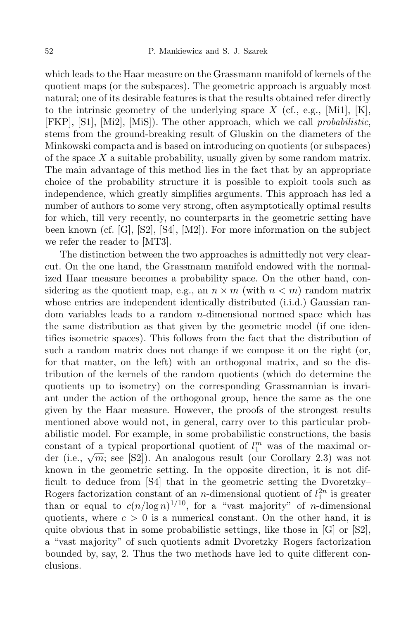which leads to the Haar measure on the Grassmann manifold of kernels of the quotient maps (or the subspaces). The geometric approach is arguably most natural; one of its desirable features is that the results obtained refer directly to the intrinsic geometry of the underlying space  $X$  (cf., e.g., [Mi1], [K], [FKP], [S1], [Mi2], [MiS]). The other approach, which we call *probabilistic*, stems from the ground-breaking result of Gluskin on the diameters of the Minkowski compacta and is based on introducing on quotients (or subspaces) of the space *X* a suitable probability, usually given by some random matrix. The main advantage of this method lies in the fact that by an appropriate choice of the probability structure it is possible to exploit tools such as independence, which greatly simplifies arguments. This approach has led a number of authors to some very strong, often asymptotically optimal results for which, till very recently, no counterparts in the geometric setting have been known (cf. [G], [S2], [S4], [M2]). For more information on the subject we refer the reader to [MT3].

The distinction between the two approaches is admittedly not very clearcut. On the one hand, the Grassmann manifold endowed with the normalized Haar measure becomes a probability space. On the other hand, considering as the quotient map, e.g., an  $n \times m$  (with  $n < m$ ) random matrix whose entries are independent identically distributed (i.i.d.) Gaussian random variables leads to a random *n*-dimensional normed space which has the same distribution as that given by the geometric model (if one identifies isometric spaces). This follows from the fact that the distribution of such a random matrix does not change if we compose it on the right (or, for that matter, on the left) with an orthogonal matrix, and so the distribution of the kernels of the random quotients (which do determine the quotients up to isometry) on the corresponding Grassmannian is invariant under the action of the orthogonal group, hence the same as the one given by the Haar measure. However, the proofs of the strongest results mentioned above would not, in general, carry over to this particular probabilistic model. For example, in some probabilistic constructions, the basis constant of a typical proportional quotient of  $l_1^m$  was of the maximal order (i.e.,  $\sqrt{m}$ ; see [S2]). An analogous result (our Corollary 2.3) was not known in the geometric setting. In the opposite direction, it is not difficult to deduce from [S4] that in the geometric setting the Dvoretzky– Rogers factorization constant of an *n*-dimensional quotient of  $l_1^{2n}$  is greater than or equal to  $c(n/\log n)^{1/10}$ , for a "vast majority" of *n*-dimensional quotients, where  $c > 0$  is a numerical constant. On the other hand, it is quite obvious that in some probabilistic settings, like those in  $[G]$  or  $[S2]$ , a "vast majority" of such quotients admit Dvoretzky–Rogers factorization bounded by, say, 2. Thus the two methods have led to quite different conclusions.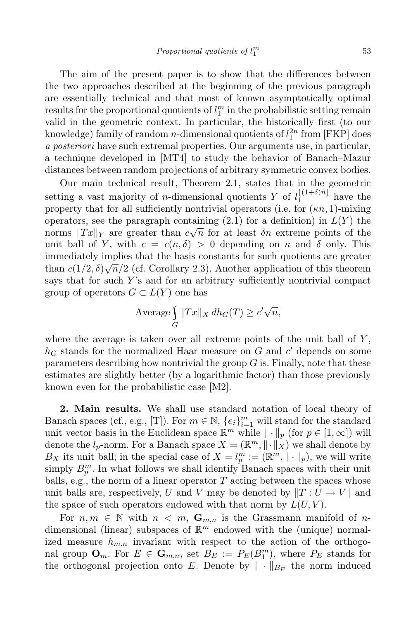The aim of the present paper is to show that the differences between the two approaches described at the beginning of the previous paragraph are essentially technical and that most of known asymptotically optimal  $\alpha$  results for the proportional quotients of  $l_1^m$  in the probabilistic setting remain valid in the geometric context. In particular, the historically first (to our knowledge) family of random *n*-dimensional quotients of  $l_1^{2n}$  from [FKP] does *a posteriori* have such extremal properties. Our arguments use, in particular, a technique developed in [MT4] to study the behavior of Banach–Mazur distances between random projections of arbitrary symmetric convex bodies.

Our main technical result, Theorem 2.1, states that in the geometric setting a vast majority of *n*-dimensional quotients *Y* of  $l_1^{\lfloor (1+\delta)n \rfloor}$  have the property that for all sufficiently nontrivial operators (i.e. for (*κn,* 1)-mixing operators, see the paragraph containing  $(2.1)$  for a definition) in  $L(Y)$  the norms  $||Tx||_Y$  are greater than  $c\sqrt{n}$  for at least *δn* extreme points of the unit ball of *Y*, with  $c = c(\kappa, \delta) > 0$  depending on  $\kappa$  and  $\delta$  only. This immediately implies that the basis constants for such quotients are greater than  $c(1/2, \delta)\sqrt{n}/2$  (cf. Corollary 2.3). Another application of this theorem says that for such *Y* 's and for an arbitrary sufficiently nontrivial compact group of operators  $G \subset L(Y)$  one has

$$
\text{Average} \int\limits_{G} \|Tx\|_X \, dh_G(T) \ge c' \sqrt{n},
$$

where the average is taken over all extreme points of the unit ball of *Y* ,  $h_G$  stands for the normalized Haar measure on  $G$  and  $c'$  depends on some parameters describing how nontrivial the group *G* is. Finally, note that these estimates are slightly better (by a logarithmic factor) than those previously known even for the probabilistic case [M2].

**2. Main results.** We shall use standard notation of local theory of Banach spaces (cf., e.g., [T]). For  $m \in \mathbb{N}$ ,  $\{e_i\}_{i=1}^m$  will stand for the standard unit vector basis in the Euclidean space  $\mathbb{R}^m$  while  $\|\cdot\|_p$  (for  $p \in [1,\infty]$ ) will denote the  $l_p$ -norm. For a Banach space  $X = (\mathbb{R}^m, \|\cdot\|_X)$  we shall denote by *B*<sub>*X*</sub> its unit ball; in the special case of  $X = l_p^m := (\mathbb{R}^m, \|\cdot\|_p)$ , we will write simply  $B_p^m$ . In what follows we shall identify Banach spaces with their unit balls, e.g., the norm of a linear operator *T* acting between the spaces whose unit balls are, respectively, *U* and *V* may be denoted by  $||T: U \rightarrow V||$  and the space of such operators endowed with that norm by  $L(U, V)$ .

For  $n, m \in \mathbb{N}$  with  $n < m$ ,  $\mathbf{G}_{m,n}$  is the Grassmann manifold of  $n$ dimensional (linear) subspaces of  $\mathbb{R}^m$  endowed with the (unique) normalized measure  $h_{m,n}$  invariant with respect to the action of the orthogonal group  $\mathbf{O}_m$ . For  $E \in \mathbf{G}_{m,n}$ , set  $B_E := P_E(B_1^m)$ , where  $P_E$  stands for the orthogonal projection onto *E*. Denote by  $\|\cdot\|_{B_E}$  the norm induced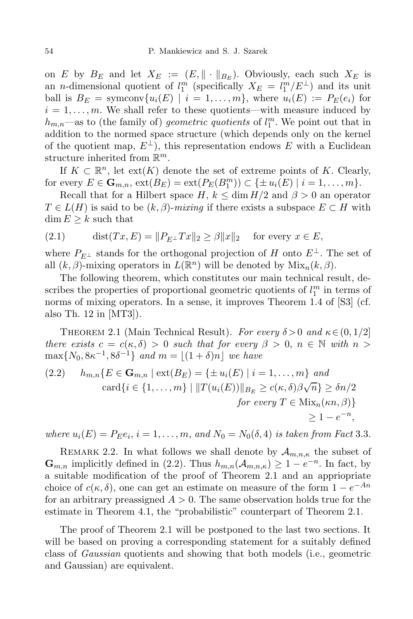on *E* by  $B_E$  and let  $X_E := (E, \|\cdot\|_{B_E})$ . Obviously, each such  $X_E$  is an *n*-dimensional quotient of  $l_1^m$  (specifically  $X_E = l_1^m / E^{\perp}$ ) and its unit ball is  $B_E = \text{symconv}\{u_i(E) \mid i = 1,\ldots,m\}$ , where  $u_i(E) := P_E(e_i)$  for  $i = 1, \ldots, m$ . We shall refer to these quotients—with measure induced by  $h_{m,n}$ —as to (the family of) *geometric quotients* of  $l_1^m$ . We point out that in addition to the normed space structure (which depends only on the kernel of the quotient map,  $E^{\perp}$ ), this representation endows *E* with a Euclidean structure inherited from R *m*.

If  $K \subset \mathbb{R}^n$ , let ext( $K$ ) denote the set of extreme points of  $K$ . Clearly, for every  $E \in \mathbf{G}_{m,n}$ ,  $ext(B_E) = ext(P_E(B_1^m)) \subset \{\pm u_i(E) \mid i = 1, ..., m\}.$ 

Recall that for a Hilbert space  $H, k \leq \dim H/2$  and  $\beta > 0$  an operator  $T \in L(H)$  is said to be  $(k, \beta)$ -*mixing* if there exists a subspace  $E \subset H$  with  $\dim E \geq k$  such that

$$
(2.1) \qquad \text{dist}(Tx, E) = \|P_{E^{\perp}} Tx\|_2 \ge \beta \|x\|_2 \quad \text{for every } x \in E,
$$

where  $P_{E^{\perp}}$  stands for the orthogonal projection of *H* onto  $E^{\perp}$ . The set of all  $(k, \beta)$ -mixing operators in  $L(\mathbb{R}^n)$  will be denoted by  $Mix_n(k, \beta)$ .

The following theorem, which constitutes our main technical result, describes the properties of proportional geometric quotients of  $l_1^m$  in terms of norms of mixing operators. In a sense, it improves Theorem 1.4 of [S3] (cf. also Th. 12 in [MT3]).

THEOREM 2.1 (Main Technical Result). *For every*  $\delta > 0$  *and*  $\kappa \in (0, 1/2]$ *there exists*  $c = c(\kappa, \delta) > 0$  *such that for every*  $\beta > 0$ ,  $n \in \mathbb{N}$  *with*  $n >$  $\max\{N_0, 8\kappa^{-1}, 8\delta^{-1}\}\$ and  $m = \lfloor (1 + \delta)n \rfloor$  we have

$$
(2.2) \quad h_{m,n}\{E \in \mathbf{G}_{m,n} \mid \text{ext}(B_E) = \{\pm u_i(E) \mid i = 1,\dots,m\} \text{ and}
$$

$$
\text{card}\{i \in \{1,\dots,m\} \mid ||T(u_i(E))||_{B_E} \ge c(\kappa,\delta)\beta\sqrt{n}\} \ge \delta n/2
$$

$$
\text{for every } T \in \text{Mix}_n(\kappa n, \beta)\}
$$

$$
\ge 1 - e^{-n},
$$

where  $u_i(E) = P_E e_i$ ,  $i = 1, ..., m$ , and  $N_0 = N_0(\delta, 4)$  is taken from Fact 3.3.

REMARK 2.2. In what follows we shall denote by  $\mathcal{A}_{m,n,\kappa}$  the subset of **G**<sub>*m,n*</sub> implicitly defined in (2.2). Thus  $h_{m,n}(\mathcal{A}_{m,n,\kappa})$  ≥ 1 −  $e^{-n}$ . In fact, by a suitable modification of the proof of Theorem 2.1 and an appriopriate choice of  $c(\kappa, \delta)$ , one can get an estimate on measure of the form  $1 - e^{-An}$ for an arbitrary preassigned  $A > 0$ . The same observation holds true for the estimate in Theorem 4.1, the "probabilistic" counterpart of Theorem 2.1.

The proof of Theorem 2.1 will be postponed to the last two sections. It will be based on proving a corresponding statement for a suitably defined class of *Gaussian* quotients and showing that both models (i.e., geometric and Gaussian) are equivalent.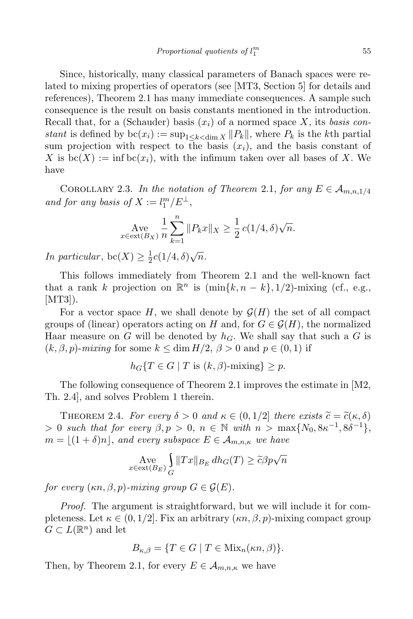Since, historically, many classical parameters of Banach spaces were related to mixing properties of operators (see [MT3, Section 5] for details and references), Theorem 2.1 has many immediate consequences. A sample such consequence is the result on basis constants mentioned in the introduction. Recall that, for a (Schauder) basis  $(x_i)$  of a normed space X, its *basis* con*stant* is defined by  $bc(x_i) := \sup_{1 \le k \le \dim X} ||P_k||$ , where  $P_k$  is the *k*<sup>th</sup> partial sum projection with respect to the basis  $(x_i)$ , and the basis constant of *X* is  $bc(X) := \inf bc(x_i)$ , with the infimum taken over all bases of X. We have

COROLLARY 2.3. *In the notation of Theorem* 2.1, *for any*  $E \in A_{m,n,1/4}$ *and for any basis of*  $X := l_1^m / E^{\perp}$ ,

$$
\text{Ave}_{x \in \text{ext}(B_X)} \frac{1}{n} \sum_{k=1}^n \|P_k x\|_X \ge \frac{1}{2} c(1/4, \delta) \sqrt{n}.
$$

*In particular,* bc(*X*)  $\geq \frac{1}{2}$  $\frac{1}{2}c(1/4, \delta)\sqrt{n}$ .

This follows immediately from Theorem 2.1 and the well-known fact that a rank *k* projection on  $\mathbb{R}^n$  is  $(\min\{k, n - k\}, 1/2)$ -mixing (cf., e.g.,  $|MT3|$ ).

For a vector space  $H$ , we shall denote by  $\mathcal{G}(H)$  the set of all compact groups of (linear) operators acting on *H* and, for  $G \in \mathcal{G}(H)$ , the normalized Haar measure on *G* will be denoted by  $h_G$ . We shall say that such a *G* is  $(k, \beta, p)$ -*mixing* for some  $k \leq \dim H/2$ ,  $\beta > 0$  and  $p \in (0, 1)$  if

$$
h_G\{T \in G \mid T \text{ is } (k,\beta) \text{-mixing}\} \ge p.
$$

The following consequence of Theorem 2.1 improves the estimate in [M2, Th. 2.4], and solves Problem 1 therein.

THEOREM 2.4. *For every*  $\delta > 0$  *and*  $\kappa \in (0,1/2]$  *there exists*  $\widetilde{c} = \widetilde{c}(\kappa, \delta)$  $> 0$  such that for every  $\beta, p > 0, n \in \mathbb{N}$  with  $n > \max\{N_0, 8\kappa^{-1}, 8\delta^{-1}\},$  $m = (1 + \delta)n,$  *and every subspace*  $E \in A_{m,n,\kappa}$  *we have* 

$$
\operatorname{Ave}_{x \in \operatorname{ext}(B_E)} \int_G ||Tx||_{B_E} dh_G(T) \ge \tilde{c}\beta p\sqrt{n}
$$

*for every*  $(\kappa n, \beta, p)$ *-mixing group*  $G \in \mathcal{G}(E)$ *.* 

*Proof.* The argument is straightforward, but we will include it for completeness. Let  $\kappa \in (0, 1/2]$ . Fix an arbitrary  $(\kappa n, \beta, p)$ -mixing compact group  $G \subset L(\mathbb{R}^n)$  and let

$$
B_{\kappa,\beta} = \{ T \in G \mid T \in \text{Mix}_n(\kappa n, \beta) \}.
$$

Then, by Theorem 2.1, for every  $E \in A_{m,n,\kappa}$  we have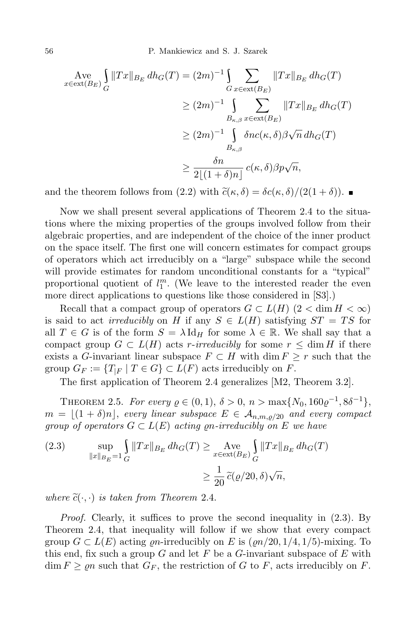56 P. Mankiewicz and S. J. Szarek

$$
\begin{split} \operatorname{Ave} & \int_{G} \|Tx\|_{B_E} \, dh_G(T) = (2m)^{-1} \int_{G} \sum_{x \in \text{ext}(B_E)} \|Tx\|_{B_E} \, dh_G(T) \\ &\ge (2m)^{-1} \int_{B_{\kappa,\beta}} \sum_{x \in \text{ext}(B_E)} \|Tx\|_{B_E} \, dh_G(T) \\ &\ge (2m)^{-1} \int_{B_{\kappa,\beta}} \delta nc(\kappa, \delta) \beta \sqrt{n} \, dh_G(T) \\ &\ge \frac{\delta n}{2[(1+\delta)n]} \, c(\kappa, \delta) \beta p \sqrt{n}, \end{split}
$$

and the theorem follows from  $(2.2)$  with  $\tilde{c}(\kappa, \delta) = \delta c(\kappa, \delta) / (2(1 + \delta))$ .

Now we shall present several applications of Theorem 2.4 to the situations where the mixing properties of the groups involved follow from their algebraic properties, and are independent of the choice of the inner product on the space itself. The first one will concern estimates for compact groups of operators which act irreducibly on a "large" subspace while the second will provide estimates for random unconditional constants for a "typical" proportional quotient of  $l_1^m$ . (We leave to the interested reader the even more direct applications to questions like those considered in [S3].)

Recall that a compact group of operators  $G \subset L(H)$  (2  $\lt \dim H \lt \infty$ ) is said to act *irreducibly* on *H* if any  $S \in L(H)$  satisfying  $ST = TS$  for all  $T \in G$  is of the form  $S = \lambda \operatorname{Id}_H$  for some  $\lambda \in \mathbb{R}$ . We shall say that a compact group  $G \subset L(H)$  acts *r*-*irreducibly* for some  $r \leq \dim H$  if there exists a *G*-invariant linear subspace  $F \subset H$  with dim  $F \geq r$  such that the group  $G_F := \{T_{|F} \mid T \in G\} \subset L(F)$  acts irreducibly on *F*.

The first application of Theorem 2.4 generalizes [M2, Theorem 3.2].

THEOREM 2.5. *For every*  $\rho \in (0, 1), \ \delta > 0, \ n > \max\{N_0, 160\varrho^{-1}, 8\delta^{-1}\},\$  $m = |(1 + \delta)n|$ , *every linear subspace*  $E \in A_{n,m,\delta/20}$  *and every compact group of operators*  $G \subset L(E)$  *acting on-irreducibly on*  $E$  *we have* 

(2.3) 
$$
\sup_{\|x\|_{B_E}=1} \int_G \|Tx\|_{B_E} dh_G(T) \ge \operatorname{Ave}_{x \in \text{ext}(B_E)} \int_G \|Tx\|_{B_E} dh_G(T)
$$

$$
\ge \frac{1}{20} \widetilde{c}(\varrho/20, \delta)\sqrt{n},
$$

*where*  $\tilde{c}(\cdot, \cdot)$  *is taken from Theorem 2.4.* 

*Proof.* Clearly, it suffices to prove the second inequality in (2.3). By Theorem 2.4, that inequality will follow if we show that every compact group  $G \subset L(E)$  acting *gn*-irreducibly on *E* is  $(\varrho n/20, 1/4, 1/5)$ -mixing. To this end, fix such a group *G* and let *F* be a *G*-invariant subspace of *E* with  $\dim F \geq \rho n$  such that  $G_F$ , the restriction of *G* to *F*, acts irreducibly on *F*.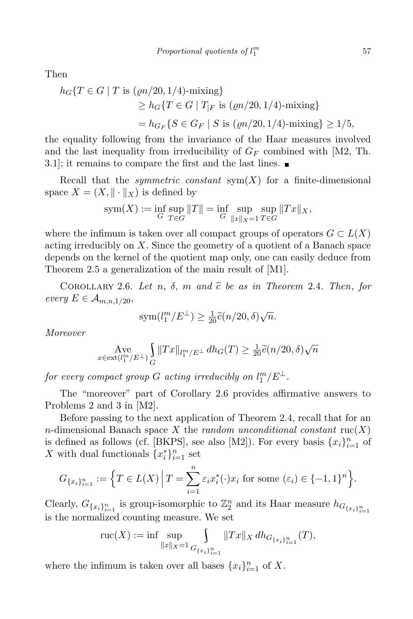Then

$$
h_G\{T \in G \mid T \text{ is } (\varrho n/20, 1/4) - \text{mixing}\}\
$$
  
\n
$$
\ge h_G\{T \in G \mid T_{|F} \text{ is } (\varrho n/20, 1/4) - \text{mixing}\}\
$$
  
\n
$$
= h_{G_F}\{S \in G_F \mid S \text{ is } (\varrho n/20, 1/4) - \text{mixing}\} \ge 1/5,
$$

the equality following from the invariance of the Haar measures involved and the last inequality from irreducibility of  $G_F$  combined with [M2, Th. 3.1]; it remains to compare the first and the last lines.

Recall that the *symmetric* constant  $sym(X)$  for a finite-dimensional space  $X = (X, \|\cdot\|_X)$  is defined by

$$
sym(X) := \inf_{G} \sup_{T \in G} ||T|| = \inf_{G} \sup_{||x||_X = 1} \sup_{T \in G} ||Tx||_X,
$$

where the infimum is taken over all compact groups of operators  $G \subset L(X)$ acting irreducibly on *X*. Since the geometry of a quotient of a Banach space depends on the kernel of the quotient map only, one can easily deduce from Theorem 2.5 a generalization of the main result of [M1].

COROLLARY 2.6. Let  $n, \delta, m$  and  $\tilde{c}$  be as in Theorem 2.4. Then, for  $every E \in A_{m,n,1/20},$ 

$$
sym(l_1^m/E^{\perp}) \ge \frac{1}{20}\tilde{c}(n/20,\delta)\sqrt{n}.
$$

*Moreover*

$$
\operatorname*{Ave}_{x \in \operatorname{ext}(l^m_1/E^\perp)} \int\limits_{G} \|Tx\|_{l^m_1/E^\perp} \, dh_G(T) \geq \tfrac{1}{20} \widetilde{c}(n/20,\delta) \sqrt{n}
$$

 $f$ *or every compact group*  $G$  *acting irreducibly on*  $l_1^m/E^{\perp}$ *.* 

The "moreover" part of Corollary 2.6 provides affirmative answers to Problems 2 and 3 in [M2].

Before passing to the next application of Theorem 2.4, recall that for an *n*-dimensional Banach space X the *random unconditional constant*  $\text{ruc}(X)$ is defined as follows (cf. [BKPS], see also [M2]). For every basis  $\{x_i\}_{i=1}^n$  of *X* with dual functionals  ${x_i^*}_{i=1}^n$  set

$$
G_{\{x_i\}_{i=1}^n} := \Big\{ T \in L(X) \, \Big| \, T = \sum_{i=1}^n \varepsilon_i x_i^*(\cdot) x_i \text{ for some } (\varepsilon_i) \in \{-1, 1\}^n \Big\}.
$$

Clearly,  $G_{\{x_i\}_{i=1}^n}$  is group-isomorphic to  $\mathbb{Z}_2^n$  and its Haar measure  $h_{G_{\{x_i\}_{i=1}^n}}$ is the normalized counting measure. We set

$$
\mathrm{ruc}(X) := \inf \sup_{\|x\|_X = 1} \int_{G_{\{x_i\}_{i=1}^n}} \|Tx\|_X \, dh_{G_{\{x_i\}_{i=1}^n}}(T),
$$

where the infimum is taken over all bases  $\{x_i\}_{i=1}^n$  of X.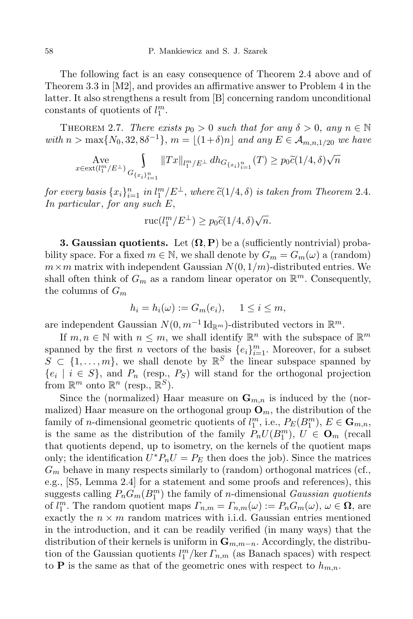The following fact is an easy consequence of Theorem 2.4 above and of Theorem 3.3 in [M2], and provides an affirmative answer to Problem 4 in the latter. It also strengthens a result from [B] concerning random unconditional constants of quotients of  $l_1^m$ .

**THEOREM 2.7.** *There exists*  $p_0 > 0$  *such that for any*  $\delta > 0$ , any  $n \in \mathbb{N}$ with  $n > \max\{N_0, 32, 8\delta^{-1}\}, m = \lfloor (1+\delta)n \rfloor$  and any  $E \in \mathcal{A}_{m,n,1/20}$  we have

$$
\operatorname*{Ave}_{x\in {\rm ext}(l^m_1/E^\perp)} \smallint\limits_{G_{\{x_i\}_{i=1}^n}} \|Tx\|_{l^m_1/E^\perp}\,dh_{G_{\{x_i\}_{i=1}^n}}(T) \ge p_0\widetilde{c}(1/4,\delta)\sqrt{n}
$$

for every basis  $\{x_i\}_{i=1}^n$  in  $l_1^m/E^{\perp}$ , where  $\tilde{c}(1/4, \delta)$  is taken from Theorem 2.4. *In particular* , *for any such E*,

$$
\mathrm{ruc}(l_1^m/E^{\perp}) \ge p_0 \widetilde{c}(1/4,\delta)\sqrt{n}.
$$

**3. Gaussian quotients.** Let  $(\Omega, \mathbf{P})$  be a (sufficiently nontrivial) probability space. For a fixed  $m \in \mathbb{N}$ , we shall denote by  $G_m = G_m(\omega)$  a (random)  $m \times m$  matrix with independent Gaussian  $N(0, 1/m)$ -distributed entries. We shall often think of  $G_m$  as a random linear operator on  $\mathbb{R}^m$ . Consequently, the columns of *G<sup>m</sup>*

$$
h_i = h_i(\omega) := G_m(e_i), \quad 1 \le i \le m,
$$

are independent Gaussian  $N(0, m^{-1} \mathrm{Id}_{\mathbb{R}^m})$ -distributed vectors in  $\mathbb{R}^m$ .

If  $m, n \in \mathbb{N}$  with  $n \leq m$ , we shall identify  $\mathbb{R}^n$  with the subspace of  $\mathbb{R}^m$ spanned by the first *n* vectors of the basis  $\{e_i\}_{i=1}^m$ . Moreover, for a subset  $S \subset \{1, \ldots, m\}$ , we shall denote by  $\mathbb{R}^S$  the linear subspace spanned by  ${e_i \mid i \in S}$ , and  $P_n$  (resp.,  $P_S$ ) will stand for the orthogonal projection from  $\mathbb{R}^m$  onto  $\mathbb{R}^n$  (resp.,  $\mathbb{R}^S$ ).

Since the (normalized) Haar measure on  $\mathbf{G}_{m,n}$  is induced by the (normalized) Haar measure on the orthogonal group  $\mathbf{O}_m$ , the distribution of the family of *n*-dimensional geometric quotients of  $l_1^m$ , i.e.,  $P_E(B_1^m)$ ,  $E \in \mathbf{G}_{m,n}$ , is the same as the distribution of the family  $P_nU(B_1^m)$ ,  $U \in \mathbf{O}_m$  (recall that quotients depend, up to isometry, on the kernels of the quotient maps only; the identification  $U^*P_nU = P_E$  then does the job). Since the matrices  $G_m$  behave in many respects similarly to (random) orthogonal matrices (cf., e.g., [S5, Lemma 2.4] for a statement and some proofs and references), this suggests calling  $P_n G_m(B_1^m)$  the family of *n*-dimensional *Gaussian quotients* of  $l_1^m$ . The random quotient maps  $\Gamma_{n,m} = \Gamma_{n,m}(\omega) := P_n G_m(\omega), \omega \in \Omega$ , are exactly the  $n \times m$  random matrices with i.i.d. Gaussian entries mentioned in the introduction, and it can be readily verified (in many ways) that the distribution of their kernels is uniform in **G***m,m−n*. Accordingly, the distribution of the Gaussian quotients  $l_1^m/\text{ker } \Gamma_{n,m}$  (as Banach spaces) with respect to **P** is the same as that of the geometric ones with respect to  $h_{m,n}$ .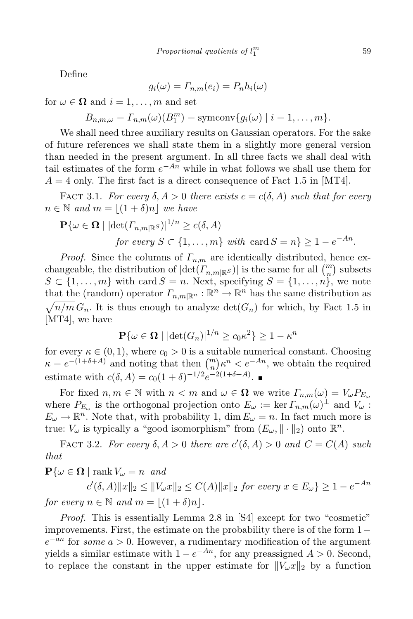Define

$$
g_i(\omega) = \Gamma_{n,m}(e_i) = P_n h_i(\omega)
$$

for  $\omega \in \Omega$  and  $i = 1, \ldots, m$  and set

$$
B_{n,m,\omega} = \Gamma_{n,m}(\omega)(B_1^m) = \text{symconv}\{g_i(\omega) \mid i = 1,\ldots,m\}.
$$

We shall need three auxiliary results on Gaussian operators. For the sake of future references we shall state them in a slightly more general version than needed in the present argument. In all three facts we shall deal with tail estimates of the form *e <sup>−</sup>An* while in what follows we shall use them for  $A = 4$  only. The first fact is a direct consequence of Fact 1.5 in [MT4].

**FACT** 3.1. *For every*  $\delta$ ,  $A > 0$  *there exists*  $c = c(\delta, A)$  *such that for every*  $n \in \mathbb{N}$  *and*  $m = \lfloor (1 + \delta)n \rfloor$  *we have* 

$$
\mathbf{P}\{\omega \in \mathbf{\Omega} \mid |\det(\Gamma_{n,m|\mathbb{R}^S})|^{1/n} \ge c(\delta, A)
$$
  
for every  $S \subset \{1, ..., m\}$  with  $\operatorname{card} S = n\} \ge 1 - e^{-An}$ .

*Proof.* Since the columns of *Γn,m* are identically distributed, hence exchangeable, the distribution of  $|det(F_{n,m|{\mathbb{R}}S})|$  is the same for all  $\binom{m}{n}$  subsets  $S \subset \{1, \ldots, m\}$  with card  $S = n$ . Next, specifying  $S = \{1, \ldots, n\}$ , we note that the (random) operator  $\Gamma_{n,m|\mathbb{R}^n} : \mathbb{R}^n \to \mathbb{R}^n$  has the same distribution as  $\sqrt{n/m} G_n$ . It is thus enough to analyze  $\det(G_n)$  for which, by Fact 1.5 in [MT4], we have

$$
\mathbf{P}\{\omega \in \mathbf{\Omega} \mid |\det(G_n)|^{1/n} \ge c_0 \kappa^2\} \ge 1 - \kappa^n
$$

for every  $\kappa \in (0,1)$ , where  $c_0 > 0$  is a suitable numerical constant. Choosing  $\kappa = e^{-(1+\delta+A)}$  and noting that then  $\binom{m}{n} \kappa^n < e^{-An}$ , we obtain the required estimate with  $c(\delta, A) = c_0(1+\delta)^{-1/2}e^{-2(1+\delta+A)}$ .

For fixed  $n, m \in \mathbb{N}$  with  $n < m$  and  $\omega \in \Omega$  we write  $\Gamma_{n,m}(\omega) = V_{\omega} P_{E_{\omega}}$ where  $P_{E_{\omega}}$  is the orthogonal projection onto  $E_{\omega} := \ker \Gamma_{n,m}(\omega)^{\perp}$  and  $V_{\omega}$ :  $E_{\omega} \to \mathbb{R}^n$ . Note that, with probability 1, dim  $E_{\omega} = n$ . In fact much more is true:  $V_{\omega}$  is typically a "good isomorphism" from  $(E_{\omega}, \|\cdot\|_2)$  onto  $\mathbb{R}^n$ .

**FACT 3.2.** For every  $\delta, A > 0$  there are  $c'(\delta, A) > 0$  and  $C = C(A)$  such *that*

 $P\{\omega \in \Omega \mid \text{rank } V_{\omega} = n \text{ and }$ 

 $c'(\delta, A) ||x||_2 \le ||V_\omega x||_2 \le C(A) ||x||_2$  for every  $x \in E_\omega$   $\ge 1 - e^{-An}$ *for every*  $n \in \mathbb{N}$  *and*  $m = \lfloor (1 + \delta)n \rfloor$ *.* 

*Proof.* This is essentially Lemma 2.8 in [S4] except for two "cosmetic" improvements. First, the estimate on the probability there is of the form 1*− e <sup>−</sup>an* for *some a >* 0. However, a rudimentary modification of the argument yields a similar estimate with  $1 - e^{-An}$ , for any preassigned *A* > 0. Second, to replace the constant in the upper estimate for  $||V_{\omega}x||_2$  by a function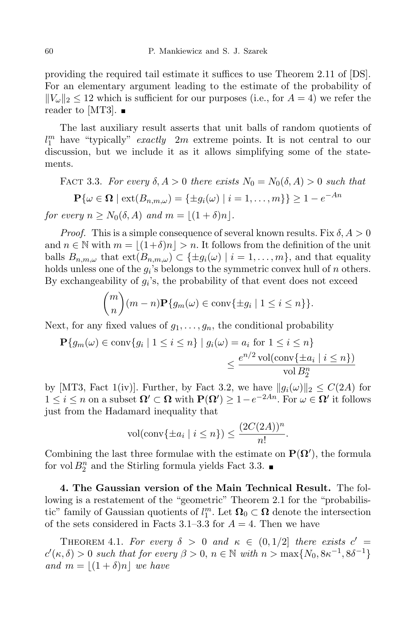providing the required tail estimate it suffices to use Theorem 2.11 of [DS]. For an elementary argument leading to the estimate of the probability of  $||V_\omega||_2 \leq 12$  which is sufficient for our purposes (i.e., for  $A = 4$ ) we refer the reader to [MT3].  $\blacksquare$ 

The last auxiliary result asserts that unit balls of random quotients of *l m* <sup>1</sup> have "typically" *exactly* 2*m* extreme points. It is not central to our discussion, but we include it as it allows simplifying some of the statements.

**FACT** 3.3. For every  $\delta$ ,  $A > 0$  there exists  $N_0 = N_0(\delta, A) > 0$  such that  $\mathbf{P}\{\omega \in \mathbf{\Omega} \mid \text{ext}(B_{n,m,\omega}) = \{\pm g_i(\omega) \mid i = 1,\ldots,m\}\} \ge 1 - e^{-An}$ *for every*  $n \geq N_0(\delta, A)$  *and*  $m = |(1 + \delta)n|$ .

*Proof.* This is a simple consequence of several known results. Fix  $\delta$ ,  $A > 0$ and  $n \in \mathbb{N}$  with  $m = (1+\delta)n > n$ . It follows from the definition of the unit balls  $B_{n,m,\omega}$  that  $ext(B_{n,m,\omega}) \subset \{\pm g_i(\omega) \mid i = 1,\ldots,m\}$ , and that equality holds unless one of the  $g_i$ 's belongs to the symmetric convex hull of *n* others. By exchangeability of  $g_i$ 's, the probability of that event does not exceed

$$
\binom{m}{n}(m-n)\mathbf{P}\{g_m(\omega) \in \text{conv}\{\pm g_i \mid 1 \le i \le n\}\}.
$$

Next, for any fixed values of  $g_1, \ldots, g_n$ , the conditional probability

$$
\mathbf{P}\{g_m(\omega) \in \text{conv}\{g_i \mid 1 \le i \le n\} \mid g_i(\omega) = a_i \text{ for } 1 \le i \le n\}
$$
\n
$$
\le \frac{e^{n/2} \text{vol}(\text{conv}\{\pm a_i \mid i \le n\})}{\text{vol } B_2^n}
$$

by [MT3, Fact 1(iv)]. Further, by Fact 3.2, we have  $||g_i(\omega)||_2 \leq C(2A)$  for  $1 \leq i \leq n$  on a subset  $\Omega' \subset \Omega$  with  $P(\Omega') \geq 1 - e^{-2An}$ . For  $\omega \in \Omega'$  it follows just from the Hadamard inequality that

$$
vol(\text{conv}\{\pm a_i \mid i \leq n\}) \leq \frac{(2C(2A))^n}{n!}.
$$

Combining the last three formulae with the estimate on  $P(\Omega)$ , the formula for vol  $B_2^n$  and the Stirling formula yields Fact 3.3.

**4. The Gaussian version of the Main Technical Result.** The following is a restatement of the "geometric" Theorem 2.1 for the "probabilistic" family of Gaussian quotients of  $l_1^m$ . Let  $\Omega_0 \subset \Omega$  denote the intersection of the sets considered in Facts  $3.1-3.3$  for  $A = 4$ . Then we have

THEOREM 4.1. For every  $\delta > 0$  and  $\kappa \in (0, 1/2]$  there exists  $c' =$  $c'(\kappa, \delta) > 0$  such that for every  $\beta > 0$ ,  $n \in \mathbb{N}$  with  $n > \max\{N_0, 8\kappa^{-1}, 8\delta^{-1}\}\$ *and*  $m = |(1 + \delta)n|$  *we have*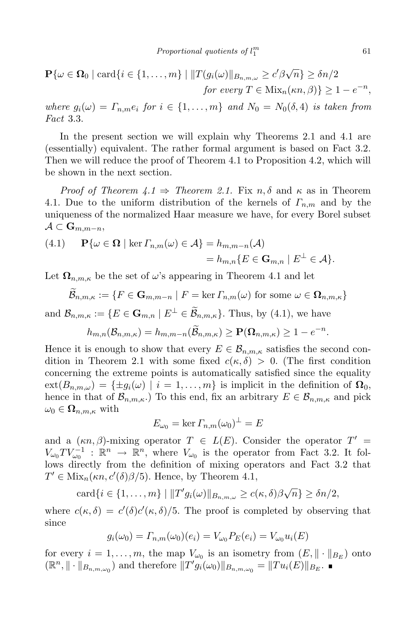$$
\mathbf{P}\{\omega \in \mathbf{\Omega}_0 \mid \text{card}\{i \in \{1,\ldots,m\} \mid ||T(g_i(\omega)||_{B_{n,m,\omega}} \ge c'\beta\sqrt{n}\} \ge \delta n/2
$$
  
for every  $T \in \text{Mix}_n(\kappa n, \beta)\} \ge 1 - e^{-n}$ ,

where  $g_i(\omega) = \Gamma_{n,m} e_i$  for  $i \in \{1, ..., m\}$  and  $N_0 = N_0(\delta, 4)$  is taken from *Fact* 3.3.

In the present section we will explain why Theorems 2.1 and 4.1 are (essentially) equivalent. The rather formal argument is based on Fact 3.2. Then we will reduce the proof of Theorem 4.1 to Proposition 4.2, which will be shown in the next section.

*Proof of Theorem 4.1*  $\Rightarrow$  *Theorem 2.1.* Fix *n,*  $\delta$  and  $\kappa$  as in Theorem 4.1. Due to the uniform distribution of the kernels of *Γn,m* and by the uniqueness of the normalized Haar measure we have, for every Borel subset  $\mathcal{A}$  ⊂ **G**<sub>*m*</sub>, $m$ −*n*,

(4.1) 
$$
\mathbf{P}\{\omega \in \mathbf{\Omega} \mid \ker \varGamma_{n,m}(\omega) \in \mathcal{A}\} = h_{m,m-n}(\mathcal{A})
$$

$$
= h_{m,n}\{E \in \mathbf{G}_{m,n} \mid E^{\perp} \in \mathcal{A}\}.
$$

Let  $\Omega_{n,m,\kappa}$  be the set of  $\omega$ 's appearing in Theorem 4.1 and let

$$
\mathcal{B}_{n,m,\kappa}:=\{F\in \mathbf{G}_{m,m-n}\mid F=\ker\varGamma_{n,m}(\omega)\,\,\text{for some}\,\,\omega\in\mathbf{\Omega}_{n,m,\kappa}\}
$$

and  $\mathcal{B}_{n,m,\kappa} := \{ E \in \mathbf{G}_{m,n} \mid E^{\perp} \in \widetilde{\mathcal{B}}_{n,m,\kappa} \}.$  Thus, by (4.1), we have

$$
h_{m,n}(\mathcal{B}_{n,m,\kappa})=h_{m,m-n}(\widetilde{\mathcal{B}}_{n,m,\kappa})\geq \mathbf{P}(\mathbf{\Omega}_{n,m,\kappa})\geq 1-e^{-n}.
$$

Hence it is enough to show that every  $E \in \mathcal{B}_{n,m,\kappa}$  satisfies the second condition in Theorem 2.1 with some fixed  $c(\kappa, \delta) > 0$ . (The first condition concerning the extreme points is automatically satisfied since the equality  $ext(B_{n,m,\omega}) = {\pm g_i(\omega) | i = 1,\ldots,m}$  is implicit in the definition of  $\Omega_0$ , hence in that of  $\mathcal{B}_{n,m,\kappa}$ .) To this end, fix an arbitrary  $E \in \mathcal{B}_{n,m,\kappa}$  and pick  $\omega_0 \in \Omega_{n,m,\kappa}$  with

$$
E_{\omega_0} = \ker \varGamma_{n,m}(\omega_0)^\perp = E
$$

and a  $(\kappa n, \beta)$ -mixing operator  $T \in L(E)$ . Consider the operator  $T' =$  $V_{\omega_0} T V_{\omega_0}^{-1}$  :  $\mathbb{R}^n \to \mathbb{R}^n$ , where  $V_{\omega_0}$  is the operator from Fact 3.2. It follows directly from the definition of mixing operators and Fact 3.2 that  $T' \in \text{Mix}_n(\kappa n, c'(\delta)\beta/5)$ . Hence, by Theorem 4.1,

$$
card\{i \in \{1,\ldots,m\} \mid ||T'g_i(\omega)||_{B_{n,m,\omega}} \ge c(\kappa,\delta)\beta\sqrt{n}\} \ge \delta n/2,
$$

where  $c(\kappa, \delta) = c'(\delta)c'(\kappa, \delta)/5$ . The proof is completed by observing that since

$$
g_i(\omega_0) = \Gamma_{n,m}(\omega_0)(e_i) = V_{\omega_0} P_E(e_i) = V_{\omega_0} u_i(E)
$$

for every  $i = 1, \ldots, m$ , the map  $V_{\omega_0}$  is an isometry from  $(E, \| \cdot \|_{B_E})$  onto  $(\mathbb{R}^n, \|\cdot\|_{B_{n,m,\omega_0}})$  and therefore  $||T'g_i(\omega_0)||_{B_{n,m,\omega_0}} = ||Tu_i(E)||_{B_E}$ .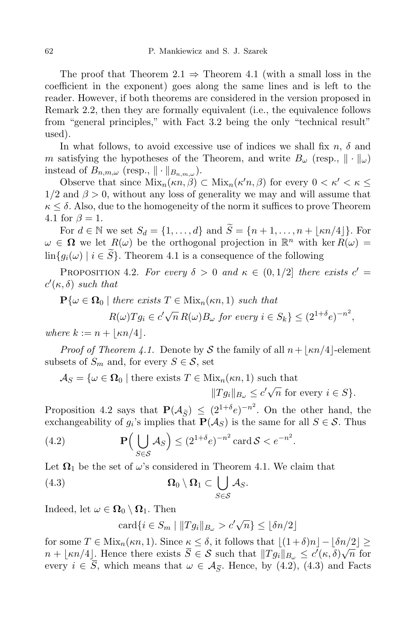The proof that Theorem  $2.1 \Rightarrow$  Theorem 4.1 (with a small loss in the coefficient in the exponent) goes along the same lines and is left to the reader. However, if both theorems are considered in the version proposed in Remark 2.2, then they are formally equivalent (i.e., the equivalence follows from "general principles," with Fact 3.2 being the only "technical result" used).

In what follows, to avoid excessive use of indices we shall fix  $n$ ,  $\delta$  and *m* satisfying the hypotheses of the Theorem, and write  $B_\omega$  (resp.,  $\|\cdot\|_\omega$ ) instead of  $B_{n,m,\omega}$  (resp.,  $\|\cdot\|_{B_{n,m,\omega}}$ ).

Observe that since  $\text{Mix}_n(\kappa n, \beta) \subset \text{Mix}_n(\kappa' n, \beta)$  for every  $0 < \kappa' < \kappa \leq$  $1/2$  and  $\beta > 0$ , without any loss of generality we may and will assume that *κ ≤ δ*. Also, due to the homogeneity of the norm it suffices to prove Theorem 4.1 for  $\beta = 1$ .

For  $d \in \mathbb{N}$  we set  $S_d = \{1, \ldots, d\}$  and  $\widetilde{S} = \{n+1, \ldots, n+ |\kappa n/4|\}$ . For  $\omega \in \Omega$  we let  $R(\omega)$  be the orthogonal projection in  $\mathbb{R}^n$  with ker  $R(\omega) =$  $\lim\{q_i(\omega) \mid i \in \tilde{S}\}\.$  Theorem 4.1 is a consequence of the following

PROPOSITION 4.2. *For every*  $\delta > 0$  *and*  $\kappa \in (0, 1/2]$  *there exists*  $c' =$  $c'(\kappa, \delta)$  *such that* 

$$
\mathbf{P}\{\omega \in \Omega_0 \mid \text{there exists } T \in \text{Mix}_n(\kappa n, 1) \text{ such that } R(\omega)Tg_i \in c'\sqrt{n} R(\omega)B_\omega \text{ for every } i \in S_k\} \leq (2^{1+\delta}e)^{-n^2},
$$

*where*  $k := n + |\kappa n/4|$ *.* 

*Proof of Theorem* 4.1. Denote by *S* the family of all  $n + \lfloor \kappa n/4 \rfloor$ -element subsets of  $S_m$  and, for every  $S \in \mathcal{S}$ , set

$$
\mathcal{A}_S = \{ \omega \in \Omega_0 \mid \text{there exists } T \in \text{Mix}_n(\kappa n, 1) \text{ such that}
$$

$$
||Tg_i||_{B_{\omega}} \le c' \sqrt{n} \text{ for every } i \in S \}.
$$

Proposition 4.2 says that  $\mathbf{P}(\mathcal{A}_{\tilde{S}}) \leq (2^{1+\delta}e)^{-n^2}$ . On the other hand, the exchangeability of  $g_i$ 's implies that  $P(A_S)$  is the same for all  $S \in \mathcal{S}$ . Thus

(4.2) 
$$
\mathbf{P}\Big(\bigcup_{S\in\mathcal{S}}\mathcal{A}_S\Big) \leq (2^{1+\delta}e)^{-n^2} \operatorname{card}\mathcal{S} < e^{-n^2}.
$$

Let  $\Omega_1$  be the set of  $\omega$ 's considered in Theorem 4.1. We claim that

(4.3) 
$$
\Omega_0 \setminus \Omega_1 \subset \bigcup_{S \in \mathcal{S}} \mathcal{A}_S.
$$

Indeed, let  $\omega \in \Omega_0 \setminus \Omega_1$ . Then

 $\text{card}\{i \in S_m \mid ||Tg_i||_{B_{\omega}} > c'\sqrt{n}\} \leq \lfloor \delta n/2 \rfloor$ 

for some  $T \in \text{Mix}_n(\kappa n, 1)$ . Since  $\kappa \leq \delta$ , it follows that  $|(1+\delta)n| - |\delta n/2| \geq$  $n + \lfloor \kappa n/4 \rfloor$ . Hence there exists  $\overline{S} \in S$  such that  $||Tg_i||_{B_\omega} \leq c'(\kappa, \delta) \sqrt{n}$  for every  $i \in S$ , which means that  $\omega \in \mathcal{A}_{\overline{S}}$ . Hence, by (4.2), (4.3) and Facts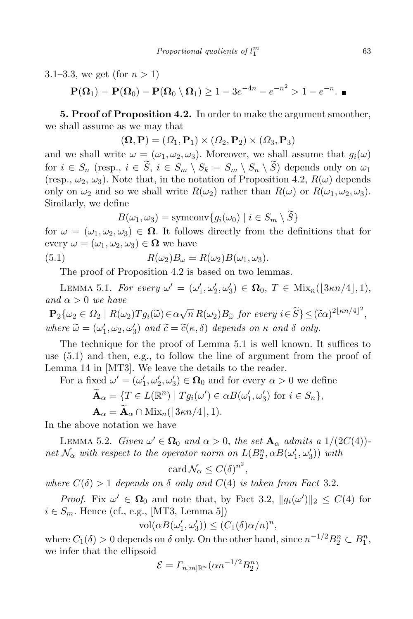3.1–3.3, we get (for  $n > 1$ )

 $P(\Omega_1) = P(\Omega_0) - P(\Omega_0 \setminus \Omega_1) \ge 1 - 3e^{-4n} - e^{-n^2} > 1 - e^{-n}.$ 

**5. Proof of Proposition 4.2.** In order to make the argument smoother, we shall assume as we may that

$$
(\mathbf{\Omega}, \mathbf{P}) = (\Omega_1, \mathbf{P}_1) \times (\Omega_2, \mathbf{P}_2) \times (\Omega_3, \mathbf{P}_3)
$$

and we shall write  $\omega = (\omega_1, \omega_2, \omega_3)$ . Moreover, we shall assume that  $q_i(\omega)$ for  $i \in S_n$  (resp.,  $i \in \tilde{S}$ ,  $i \in S_m \setminus S_k = S_m \setminus S_n \setminus \tilde{S}$ ) depends only on  $\omega_1$ (resp.,  $\omega_2$ ,  $\omega_3$ ). Note that, in the notation of Proposition 4.2,  $R(\omega)$  depends only on  $\omega_2$  and so we shall write  $R(\omega_2)$  rather than  $R(\omega)$  or  $R(\omega_1, \omega_2, \omega_3)$ . Similarly, we define

 $B(\omega_1, \omega_3) = \text{symconv}\{g_i(\omega_0) \mid i \in S_m \setminus \widetilde{S}\}\$ 

for  $\omega = (\omega_1, \omega_2, \omega_3) \in \Omega$ . It follows directly from the definitions that for every  $\omega = (\omega_1, \omega_2, \omega_3) \in \Omega$  we have

(5.1) 
$$
R(\omega_2)B_{\omega} = R(\omega_2)B(\omega_1, \omega_3).
$$

The proof of Proposition 4.2 is based on two lemmas.

LEMMA 5.1. For every  $\omega' = (\omega'_1, \omega'_2, \omega'_3) \in \Omega_0$ ,  $T \in \text{Mix}_n(\lfloor 3\kappa n/4 \rfloor, 1)$ , *and α >* 0 *we have*

 $\mathbf{P}_2\{\omega_2 \in \Omega_2 \mid R(\omega_2)Tg_i(\widetilde{\omega}) \in \alpha\sqrt{n} R(\omega_2)B_{\widetilde{\omega}} \text{ for every } i \in \widetilde{S}\}\leq (\widetilde{c}\alpha)^{2\lfloor \kappa n/4\rfloor^2},$  $where \ \tilde{\omega} = (\omega'_1, \omega_2, \omega'_3) \ and \ \tilde{c} = \tilde{c}(\kappa, \delta) \ depends \ on \ \kappa \ and \ \delta \ only.$ 

The technique for the proof of Lemma 5.1 is well known. It suffices to use (5.1) and then, e.g., to follow the line of argument from the proof of Lemma 14 in [MT3]. We leave the details to the reader.

For a fixed  $\omega' = (\omega'_1, \omega'_2, \omega'_3) \in \Omega_0$  and for every  $\alpha > 0$  we define

$$
\widetilde{\mathbf{A}}_{\alpha} = \{ T \in L(\mathbb{R}^n) \mid Tg_i(\omega') \in \alpha B(\omega'_1, \omega'_3) \text{ for } i \in S_n \},
$$
  

$$
\mathbf{A}_{\alpha} = \widetilde{\mathbf{A}}_{\alpha} \cap \text{Mix}_n(\lfloor 3\kappa n/4 \rfloor, 1).
$$

In the above notation we have

LEMMA 5.2. *Given*  $\omega' \in \Omega_0$  *and*  $\alpha > 0$ , *the set*  $\mathbf{A}_{\alpha}$  *admits a* 1/(2*C*(4)) $net \mathcal{N}_{\alpha}$  *with respect to the operator norm on*  $L(B_2^n, \alpha B(\omega_1', \omega_3'))$  *with* 

$$
\operatorname{card} \mathcal{N}_{\alpha} \leq C(\delta)^{n^2},
$$

*where*  $C(\delta) > 1$  *depends on*  $\delta$  *only and*  $C(4)$  *is taken from Fact* 3.2.

*Proof.* Fix  $\omega' \in \Omega_0$  and note that, by Fact 3.2,  $||g_i(\omega')||_2 \leq C(4)$  for  $i \in S_m$ . Hence (cf., e.g., [MT3, Lemma 5])

$$
\text{vol}(\alpha B(\omega'_1, \omega'_3)) \le (C_1(\delta)\alpha/n)^n,
$$

where  $C_1(\delta) > 0$  depends on  $\delta$  only. On the other hand, since  $n^{-1/2}B_2^n \subset B_1^n$ , we infer that the ellipsoid

$$
\mathcal{E} = \Gamma_{n,m|\mathbb{R}^n}(\alpha n^{-1/2} B_2^n)
$$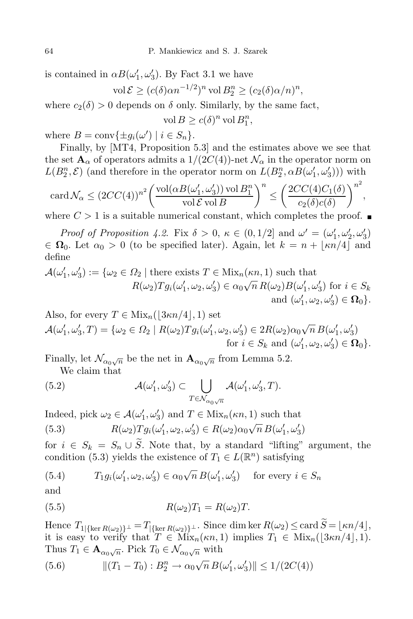is contained in  $\alpha B(\omega_1', \omega_3')$ . By Fact 3.1 we have

$$
\text{vol}\,\mathcal{E} \ge (c(\delta)\alpha n^{-1/2})^n \text{ vol}\, B_2^n \ge (c_2(\delta)\alpha/n)^n,
$$

where  $c_2(\delta) > 0$  depends on  $\delta$  only. Similarly, by the same fact,

 $vol B \ge c(\delta)^n vol B_1^n$ ,

where  $B = \text{conv}\{\pm g_i(\omega') \mid i \in S_n\}.$ 

Finally, by [MT4, Proposition 5.3] and the estimates above we see that the set  $\mathbf{A}_{\alpha}$  of operators admits a  $1/(2C(4))$ -net  $\mathcal{N}_{\alpha}$  in the operator norm on  $L(B_2^n, \mathcal{E})$  (and therefore in the operator norm on  $L(B_2^n, \alpha B(\omega_1', \omega_3'))$ ) with

$$
\operatorname{card} \mathcal{N}_{\alpha} \leq (2CC(4))^{n^2} \bigg( \frac{\operatorname{vol}(\alpha B(\omega_1', \omega_3')) \operatorname{vol} B_1^n}{\operatorname{vol} \mathcal{E} \operatorname{vol} B} \bigg)^n \leq \bigg( \frac{2CC(4)C_1(\delta)}{c_2(\delta)c(\delta)} \bigg)^{n^2},
$$

where  $C > 1$  is a suitable numerical constant, which completes the proof.

*Proof of Proposition* 4.2. Fix  $\delta > 0$ ,  $\kappa \in (0, 1/2]$  and  $\omega' = (\omega'_1, \omega'_2, \omega'_3)$  $\in \Omega_0$ . Let  $\alpha_0 > 0$  (to be specified later). Again, let  $k = n + |\kappa n/4|$  and define

$$
\mathcal{A}(\omega'_1, \omega'_3) := \{ \omega_2 \in \Omega_2 \mid \text{there exists } T \in \text{Mix}_n(\kappa n, 1) \text{ such that } \newline R(\omega_2) Tg_i(\omega'_1, \omega_2, \omega'_3) \in \alpha_0 \sqrt{n} R(\omega_2) B(\omega'_1, \omega'_3) \text{ for } i \in S_k \newline \text{and } (\omega'_1, \omega_2, \omega'_3) \in \mathbf{\Omega}_0 \}.
$$

Also, for every  $T \in \text{Mix}_n(|3\kappa n/4|, 1)$  set  $\mathcal{A}(\omega'_1, \omega'_3, T) = \{ \omega_2 \in \Omega_2 \mid R(\omega_2)Tg_i(\omega'_1, \omega_2, \omega'_3) \in 2R(\omega_2)\alpha_0\sqrt{n} B(\omega'_1, \omega'_3) \}$ for  $i \in S_k$  and  $(\omega'_1, \omega_2, \omega'_3) \in \Omega_0$ .

Finally, let  $\mathcal{N}_{\alpha_0\sqrt{n}}$  be the net in  $\mathbf{A}_{\alpha_0\sqrt{n}}$  from Lemma 5.2.

We claim that

(5.2) 
$$
\mathcal{A}(\omega'_1, \omega'_3) \subset \bigcup_{T \in \mathcal{N}_{\alpha_0 \sqrt{n}}} \mathcal{A}(\omega'_1, \omega'_3, T).
$$

Indeed, pick  $\omega_2 \in \mathcal{A}(\omega'_1, \omega'_3)$  and  $T \in \text{Mix}_n(\kappa n, 1)$  such that

(5.3) 
$$
R(\omega_2)Tg_i(\omega'_1, \omega_2, \omega'_3) \in R(\omega_2)\alpha_0\sqrt{n} B(\omega'_1, \omega'_3)
$$

for  $i \in S_k = S_n \cup \tilde{S}$ . Note that, by a standard "lifting" argument, the condition (5.3) yields the existence of  $T_1 \in L(\mathbb{R}^n)$  satisfying

(5.4) 
$$
T_1 g_i(\omega'_1, \omega_2, \omega'_3) \in \alpha_0 \sqrt{n} B(\omega'_1, \omega'_3) \text{ for every } i \in S_n
$$

and

$$
(5.5) \t\t R(\omega_2)T_1 = R(\omega_2)T.
$$

Hence  $T_1$ <sub>{</sub>ker  $R(\omega_2)$ }<sup> $\perp$ </sup> =  $T$ <sub>{</sub>ker  $R(\omega_2)$ }<sup> $\perp$ </sup>. Since dim ker  $R(\omega_2)$   $\leq$  card  $\widetilde{S} = \lfloor \kappa n/4 \rfloor$ , it is easy to verify that  $T \in Mix_n(\kappa n, 1)$  implies  $T_1 \in Mix_n(\lfloor 3\kappa n/4 \rfloor, 1)$ . Thus  $T_1 \in \mathbf{A}_{\alpha_0\sqrt{n}}$ . Pick  $T_0 \in \mathcal{N}_{\alpha_0\sqrt{n}}$  with

(5.6) 
$$
\| (T_1 - T_0) : B_2^n \to \alpha_0 \sqrt{n} B(\omega'_1, \omega'_3) \| \le 1 / (2C(4))
$$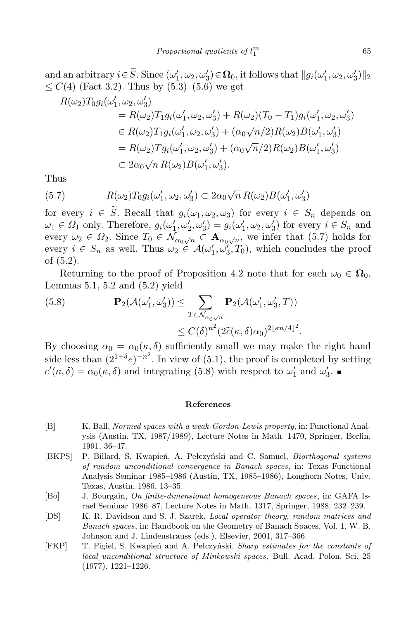and an arbitrary  $i \in S$ . Since  $(\omega'_1, \omega_2, \omega'_3) \in \Omega_0$ , it follows that  $||g_i(\omega'_1, \omega_2, \omega'_3)||_2$  $\leq C(4)$  (Fact 3.2). Thus by  $(5.3)$ – $(5.6)$  we get

$$
R(\omega_2)T_0g_i(\omega'_1, \omega_2, \omega'_3)
$$
  
=  $R(\omega_2)T_1g_i(\omega'_1, \omega_2, \omega'_3) + R(\omega_2)(T_0 - T_1)g_i(\omega'_1, \omega_2, \omega'_3)$   
 $\in R(\omega_2)T_1g_i(\omega'_1, \omega_2, \omega'_3) + (\alpha_0\sqrt{n}/2)R(\omega_2)B(\omega'_1, \omega'_3)$   
=  $R(\omega_2)Tg_i(\omega'_1, \omega_2, \omega'_3) + (\alpha_0\sqrt{n}/2)R(\omega_2)B(\omega'_1, \omega'_3)$   
 $\subset 2\alpha_0\sqrt{n}R(\omega_2)B(\omega'_1, \omega'_3).$ 

Thus

(5.7) 
$$
R(\omega_2)T_0g_i(\omega'_1,\omega_2,\omega'_3) \subset 2\alpha_0\sqrt{n} R(\omega_2)B(\omega'_1,\omega'_3)
$$

for every  $i \in \tilde{S}$ . Recall that  $g_i(\omega_1, \omega_2, \omega_3)$  for every  $i \in S_n$  depends on  $\omega_1 \in \Omega_1$  only. Therefore,  $g_i(\omega'_1, \omega'_2, \omega'_3) = g_i(\omega'_1, \omega_2, \omega'_3)$  for every  $i \in S_n$  and every  $\omega_2 \in \Omega_2$ . Since  $T_0 \in \mathcal{N}_{\alpha_0\sqrt{n}} \subset \mathbf{A}_{\alpha_0\sqrt{n}}$ , we infer that (5.7) holds for every  $i \in S_n$  as well. Thus  $\omega_2 \in \mathcal{A}(\omega'_1, \omega'_3, T_0)$ , which concludes the proof of (5.2).

Returning to the proof of Proposition 4.2 note that for each  $\omega_0 \in \Omega_0$ , Lemmas 5.1, 5.2 and (5.2) yield

(5.8) 
$$
\mathbf{P}_2(\mathcal{A}(\omega'_1, \omega'_3)) \leq \sum_{T \in \mathcal{N}_{\alpha_0\sqrt{n}}} \mathbf{P}_2(\mathcal{A}(\omega'_1, \omega'_3, T))
$$

$$
\leq C(\delta)^{n^2} (2\tilde{c}(\kappa, \delta)\alpha_0)^{2\lfloor \kappa n/4 \rfloor^2}.
$$

By choosing  $\alpha_0 = \alpha_0(\kappa, \delta)$  sufficiently small we may make the right hand side less than  $(2^{1+\delta}e)^{-n^2}$ . In view of (5.1), the proof is completed by setting  $c'(\kappa, \delta) = \alpha_0(\kappa, \delta)$  and integrating (5.8) with respect to  $\omega'_1$  and  $\omega'_3$ .

## **References**

- [B] K. Ball, *Normed spaces with a weak-Gordon-Lewis property*, in: Functional Analysis (Austin, TX, 1987/1989), Lecture Notes in Math. 1470, Springer, Berlin, 1991, 36–47.
- [BKPS] P. Billard, S. Kwapień, A. Pełczyński and C. Samuel, *Biorthogonal systems of random unconditional convergence in Banach spaces*, in: Texas Functional Analysis Seminar 1985–1986 (Austin, TX, 1985–1986), Longhorn Notes, Univ. Texas, Austin, 1986, 13–35.
- [Bo] J. Bourgain, *On finite-dimensional homogeneous Banach spaces*, in: GAFA Israel Seminar 1986–87, Lecture Notes in Math. 1317, Springer, 1988, 232–239.
- [DS] K. R. Davidson and S. J. Szarek, *Local operator theory, random matrices and Banach spaces*, in: Handbook on the Geometry of Banach Spaces, Vol. 1, W. B. Johnson and J. Lindenstrauss (eds.), Elsevier, 2001, 317–366.
- [FKP] T. Figiel, S. Kwapień and A. Pełczyński, *Sharp estimates for the constants of local unconditional structure of Minkowski spaces*, Bull. Acad. Polon. Sci. 25 (1977), 1221–1226.